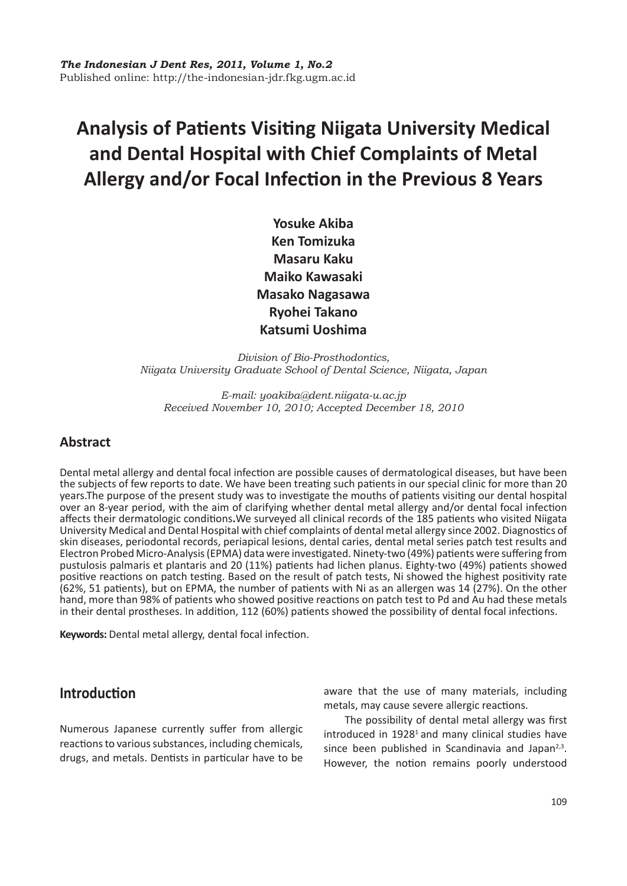# **Analysis of Patients Visiting Niigata University Medical and Dental Hospital with Chief Complaints of Metal Allergy and/or Focal Infection in the Previous 8 Years**

**Yosuke Akiba Ken Tomizuka Masaru Kaku Maiko Kawasaki Masako Nagasawa Ryohei Takano Katsumi Uoshima**

*Division of Bio-Prosthodontics, Niigata University Graduate School of Dental Science, Niigata, Japan*

*E-mail: yoakiba@dent.niigata-u.ac.jp Received November 10, 2010; Accepted December 18, 2010*

# **Abstract**

Dental metal allergy and dental focal infection are possible causes of dermatological diseases, but have been the subjects of few reports to date. We have been treating such patients in our special clinic for more than 20 years.The purpose of the present study was to investigate the mouths of patients visiting our dental hospital over an 8-year period, with the aim of clarifying whether dental metal allergy and/or dental focal infection affects their dermatologic conditions**.**We surveyed all clinical records of the 185 patients who visited Niigata University Medical and Dental Hospital with chief complaints of dental metal allergy since 2002. Diagnostics of skin diseases, periodontal records, periapical lesions, dental caries, dental metal series patch test results and Electron Probed Micro-Analysis (EPMA) data were investigated. Ninety-two (49%) patients were suffering from pustulosis palmaris et plantaris and 20 (11%) patients had lichen planus. Eighty-two (49%) patients showed positive reactions on patch testing. Based on the result of patch tests, Ni showed the highest positivity rate (62%, 51 patients), but on EPMA, the number of patients with Ni as an allergen was 14 (27%). On the other hand, more than 98% of patients who showed positive reactions on patch test to Pd and Au had these metals in their dental prostheses. In addition, 112 (60%) patients showed the possibility of dental focal infections.

**Keywords:** Dental metal allergy, dental focal infection.

# **Introduction**

Numerous Japanese currently suffer from allergic reactions to various substances, including chemicals, drugs, and metals. Dentists in particular have to be aware that the use of many materials, including metals, may cause severe allergic reactions.

The possibility of dental metal allergy was first introduced in 1928<sup>1</sup> and many clinical studies have since been published in Scandinavia and Japan $2,3$ . However, the notion remains poorly understood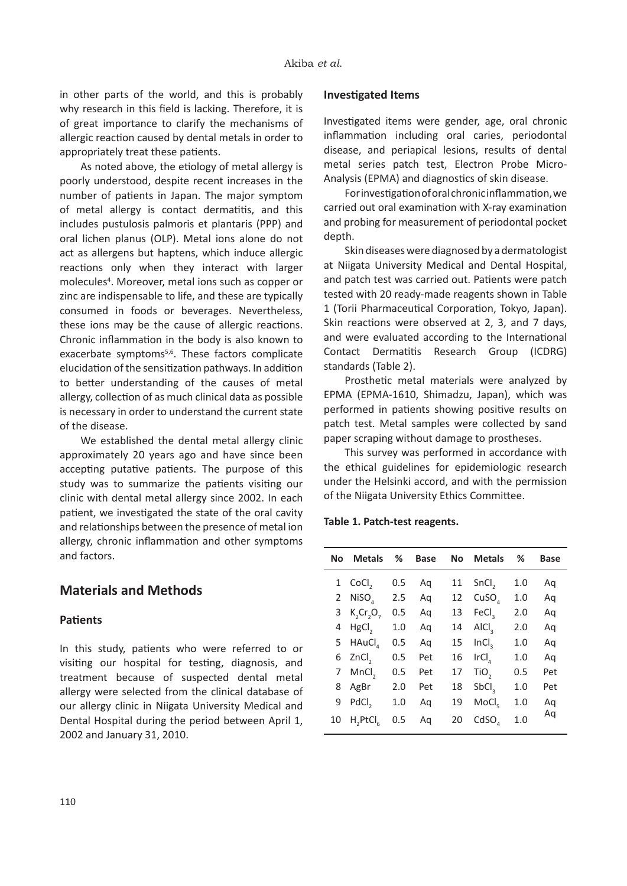in other parts of the world, and this is probably why research in this field is lacking. Therefore, it is of great importance to clarify the mechanisms of allergic reaction caused by dental metals in order to appropriately treat these patients.

As noted above, the etiology of metal allergy is poorly understood, despite recent increases in the number of patients in Japan. The major symptom of metal allergy is contact dermatitis, and this includes pustulosis palmoris et plantaris (PPP) and oral lichen planus (OLP). Metal ions alone do not act as allergens but haptens, which induce allergic reactions only when they interact with larger molecules<sup>4</sup>. Moreover, metal ions such as copper or zinc are indispensable to life, and these are typically consumed in foods or beverages. Nevertheless, these ions may be the cause of allergic reactions. Chronic inflammation in the body is also known to exacerbate symptoms<sup>5,6</sup>. These factors complicate elucidation of the sensitization pathways. In addition to better understanding of the causes of metal allergy, collection of as much clinical data as possible is necessary in order to understand the current state of the disease.

We established the dental metal allergy clinic approximately 20 years ago and have since been accepting putative patients. The purpose of this study was to summarize the patients visiting our clinic with dental metal allergy since 2002. In each patient, we investigated the state of the oral cavity and relationships between the presence of metal ion allergy, chronic inflammation and other symptoms and factors.

### **Materials and Methods**

#### **Patients**

In this study, patients who were referred to or visiting our hospital for testing, diagnosis, and treatment because of suspected dental metal allergy were selected from the clinical database of our allergy clinic in Niigata University Medical and Dental Hospital during the period between April 1, 2002 and January 31, 2010.

#### **Investigated Items**

Investigated items were gender, age, oral chronic inflammation including oral caries, periodontal disease, and periapical lesions, results of dental metal series patch test, Electron Probe Micro-Analysis (EPMA) and diagnostics of skin disease.

For investigation of oral chronic inflammation, we carried out oral examination with X-ray examination and probing for measurement of periodontal pocket depth.

Skin diseases were diagnosed by a dermatologist at Niigata University Medical and Dental Hospital, and patch test was carried out. Patients were patch tested with 20 ready-made reagents shown in Table 1 (Torii Pharmaceutical Corporation, Tokyo, Japan). Skin reactions were observed at 2, 3, and 7 days, and were evaluated according to the International Contact Dermatitis Research Group (ICDRG) standards (Table 2).

Prosthetic metal materials were analyzed by EPMA (EPMA-1610, Shimadzu, Japan), which was performed in patients showing positive results on patch test. Metal samples were collected by sand paper scraping without damage to prostheses.

This survey was performed in accordance with the ethical guidelines for epidemiologic research under the Helsinki accord, and with the permission of the Niigata University Ethics Committee.

**Table 1. Patch-test reagents.**

| No. | <b>Metals</b>                    | ℅   | <b>Base</b> | No. | <b>Metals</b>     | ℅   | <b>Base</b> |
|-----|----------------------------------|-----|-------------|-----|-------------------|-----|-------------|
|     | 1 CoCl <sub>2</sub>              | 0.5 | Αq          | 11  | SnCl <sub>2</sub> | 1.0 | Αq          |
| 2   | NiSO <sub>4</sub>                | 2.5 | Αq          | 12  | CuSO <sub>a</sub> | 1.0 | Αq          |
| 3   | K, Cr, O,                        | 0.5 | Αq          | 13  | FeCl <sub>2</sub> | 2.0 | Aq          |
| 4   | HgCl <sub>2</sub>                | 1.0 | Αq          | 14  | AICI <sub>2</sub> | 2.0 | Αq          |
| 5   | HAuCl                            | 0.5 | Αq          | 15  | InCl <sub>2</sub> | 1.0 | Aq          |
| 6   | ZnCl <sub>2</sub>                | 0.5 | Pet         | 16  | IrCl <sub>a</sub> | 1.0 | Aq          |
| 7   | MnCl <sub>2</sub>                | 0.5 | Pet         | 17  | TiO <sub>3</sub>  | 0.5 | Pet         |
| 8   | AgBr                             | 2.0 | Pet         | 18  | SbCl <sub>2</sub> | 1.0 | Pet         |
| 9   | PdCl <sub>2</sub>                | 1.0 | Αq          | 19  | MoCl <sub>e</sub> | 1.0 | Αq          |
| 10  | H <sub>2</sub> PtCl <sub>c</sub> | 0.5 | Aq          | 20  | CdSO <sub>a</sub> | 1.0 | Aq          |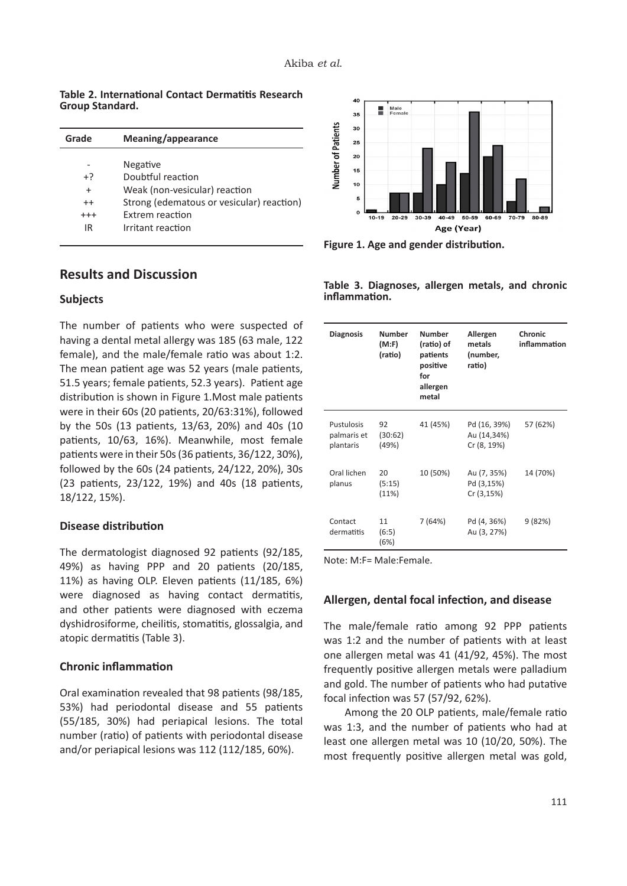**Table 2. International Contact Dermatitis Research Group Standard.**

| Grade     | Meaning/appearance                        |
|-----------|-------------------------------------------|
|           |                                           |
|           | Negative                                  |
| $+2$      | Doubtful reaction                         |
| $\ddot{}$ | Weak (non-vesicular) reaction             |
| $++$      | Strong (edematous or vesicular) reaction) |
| $^{+++}$  | Extrem reaction                           |
| IR        | Irritant reaction                         |
|           |                                           |

## **Results and Discussion**

#### **Subjects**

The number of patients who were suspected of having a dental metal allergy was 185 (63 male, 122 female), and the male/female ratio was about 1:2. The mean patient age was 52 years (male patients, 51.5 years; female patients, 52.3 years). Patient age distribution is shown in Figure 1.Most male patients were in their 60s (20 patients, 20/63:31%), followed by the 50s (13 patients, 13/63, 20%) and 40s (10 patients, 10/63, 16%). Meanwhile, most female patients were in their 50s (36 patients, 36/122, 30%), followed by the 60s (24 patients, 24/122, 20%), 30s (23 patients, 23/122, 19%) and 40s (18 patients, 18/122, 15%).

#### **Disease distribution**

The dermatologist diagnosed 92 patients (92/185, 49%) as having PPP and 20 patients (20/185, 11%) as having OLP. Eleven patients (11/185, 6%) were diagnosed as having contact dermatitis, and other patients were diagnosed with eczema dyshidrosiforme, cheilitis, stomatitis, glossalgia, and atopic dermatitis (Table 3).

#### **Chronic inflammation**

Oral examination revealed that 98 patients (98/185, 53%) had periodontal disease and 55 patients (55/185, 30%) had periapical lesions. The total number (ratio) of patients with periodontal disease and/or periapical lesions was 112 (112/185, 60%).



**Figure 1. Age and gender distribution.**

**Table 3. Diagnoses, allergen metals, and chronic inflammation.**

| <b>Diagnosis</b>                       | <b>Number</b><br>(M:F)<br>(ratio) | <b>Number</b><br>(ratio) of<br>patients<br>positive<br>for<br>allergen<br>metal | Allergen<br>metals<br>(number,<br>ratio)   | Chronic<br>inflammation |
|----------------------------------------|-----------------------------------|---------------------------------------------------------------------------------|--------------------------------------------|-------------------------|
| Pustulosis<br>palmaris et<br>plantaris | 92<br>(30:62)<br>(49%)            | 41 (45%)                                                                        | Pd (16, 39%)<br>Au (14,34%)<br>Cr (8, 19%) | 57 (62%)                |
| Oral lichen<br>planus                  | 20<br>(5:15)<br>(11%)             | 10 (50%)                                                                        | Au (7, 35%)<br>Pd (3,15%)<br>Cr (3,15%)    | 14 (70%)                |
| Contact<br>dermatitis                  | 11<br>(6:5)<br>(6%)               | 7(64%)                                                                          | Pd (4, 36%)<br>Au (3, 27%)                 | 9(82%)                  |

Note: M:F= Male:Female.

#### **Allergen, dental focal infection, and disease**

The male/female ratio among 92 PPP patients was 1:2 and the number of patients with at least one allergen metal was 41 (41/92, 45%). The most frequently positive allergen metals were palladium and gold. The number of patients who had putative focal infection was 57 (57/92, 62%).

Among the 20 OLP patients, male/female ratio was 1:3, and the number of patients who had at least one allergen metal was 10 (10/20, 50%). The most frequently positive allergen metal was gold,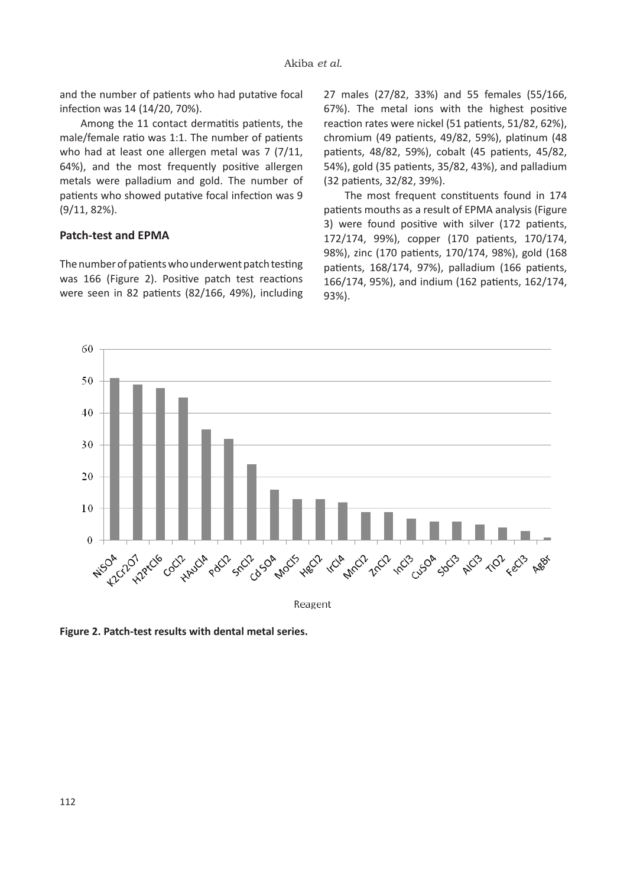and the number of patients who had putative focal infection was 14 (14/20, 70%).

Among the 11 contact dermatitis patients, the male/female ratio was 1:1. The number of patients who had at least one allergen metal was 7 (7/11, 64%), and the most frequently positive allergen metals were palladium and gold. The number of patients who showed putative focal infection was 9 (9/11, 82%).

#### **Patch-test and EPMA**

The number of patients who underwent patch testing was 166 (Figure 2). Positive patch test reactions were seen in 82 patients (82/166, 49%), including

27 males (27/82, 33%) and 55 females (55/166, 67%). The metal ions with the highest positive reaction rates were nickel (51 patients, 51/82, 62%), chromium (49 patients, 49/82, 59%), platinum (48 patients, 48/82, 59%), cobalt (45 patients, 45/82, 54%), gold (35 patients, 35/82, 43%), and palladium (32 patients, 32/82, 39%).

The most frequent constituents found in 174 patients mouths as a result of EPMA analysis (Figure 3) were found positive with silver (172 patients, 172/174, 99%), copper (170 patients, 170/174, 98%), zinc (170 patients, 170/174, 98%), gold (168 patients, 168/174, 97%), palladium (166 patients, 166/174, 95%), and indium (162 patients, 162/174, 93%).



**Figure 2. Patch-test results with dental metal series.**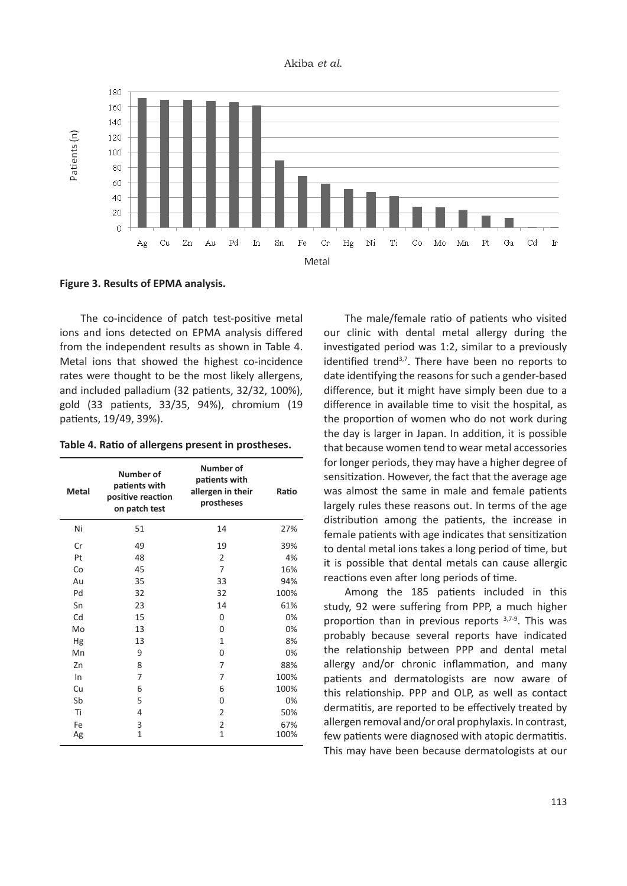



**Figure 3. Results of EPMA analysis.**

The co-incidence of patch test-positive metal ions and ions detected on EPMA analysis differed from the independent results as shown in Table 4. Metal ions that showed the highest co-incidence rates were thought to be the most likely allergens, and included palladium (32 patients, 32/32, 100%), gold (33 patients, 33/35, 94%), chromium (19 patients, 19/49, 39%).

**Table 4. Ratio of allergens present in prostheses.**

| <b>Metal</b> | Number of<br>patients with<br>positive reaction<br>on patch test | Number of<br>patients with<br>allergen in their<br>prostheses | Ratio       |
|--------------|------------------------------------------------------------------|---------------------------------------------------------------|-------------|
| Ni           | 51                                                               | 14                                                            | 27%         |
| Cr           | 49                                                               | 19                                                            | 39%         |
| Pt           | 48                                                               | $\overline{2}$                                                | 4%          |
| Co           | 45                                                               | 7                                                             | 16%         |
| Au           | 35                                                               | 33                                                            | 94%         |
| Pd           | 32                                                               | 32                                                            | 100%        |
| Sn           | 23                                                               | 14                                                            | 61%         |
| Cd           | 15                                                               | $\Omega$                                                      | 0%          |
| Mo           | 13                                                               | 0                                                             | 0%          |
| Hg           | 13                                                               | 1                                                             | 8%          |
| Mn           | 9                                                                | 0                                                             | 0%          |
| Zn           | 8                                                                | 7                                                             | 88%         |
| In           | 7                                                                | 7                                                             | 100%        |
| Cu           | 6                                                                | 6                                                             | 100%        |
| Sb           | 5                                                                | 0                                                             | 0%          |
| Ti           | 4                                                                | $\overline{2}$                                                | 50%         |
| Fe<br>Ag     | 3<br>1                                                           | $\overline{2}$<br>$\mathbf{1}$                                | 67%<br>100% |

The male/female ratio of patients who visited our clinic with dental metal allergy during the investigated period was 1:2, similar to a previously identified trend<sup>3,7</sup>. There have been no reports to date identifying the reasons for such a gender-based difference, but it might have simply been due to a difference in available time to visit the hospital, as the proportion of women who do not work during the day is larger in Japan. In addition, it is possible that because women tend to wear metal accessories for longer periods, they may have a higher degree of sensitization. However, the fact that the average age was almost the same in male and female patients largely rules these reasons out. In terms of the age distribution among the patients, the increase in female patients with age indicates that sensitization to dental metal ions takes a long period of time, but it is possible that dental metals can cause allergic reactions even after long periods of time.

Among the 185 patients included in this study, 92 were suffering from PPP, a much higher proportion than in previous reports  $3,7-9$ . This was probably because several reports have indicated the relationship between PPP and dental metal allergy and/or chronic inflammation, and many patients and dermatologists are now aware of this relationship. PPP and OLP, as well as contact dermatitis, are reported to be effectively treated by allergen removal and/or oral prophylaxis. In contrast, few patients were diagnosed with atopic dermatitis. This may have been because dermatologists at our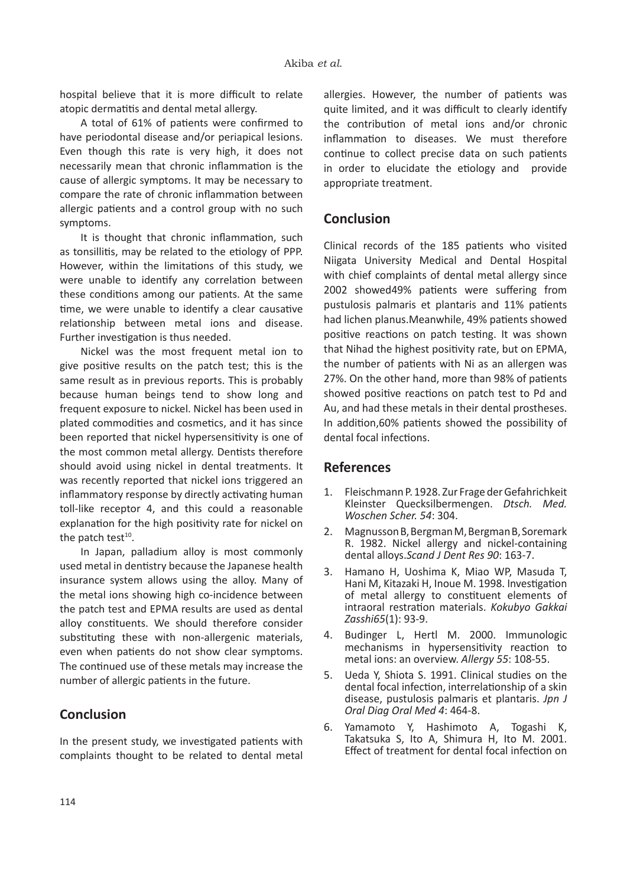hospital believe that it is more difficult to relate atopic dermatitis and dental metal allergy.

A total of 61% of patients were confirmed to have periodontal disease and/or periapical lesions. Even though this rate is very high, it does not necessarily mean that chronic inflammation is the cause of allergic symptoms. It may be necessary to compare the rate of chronic inflammation between allergic patients and a control group with no such symptoms.

It is thought that chronic inflammation, such as tonsillitis, may be related to the etiology of PPP. However, within the limitations of this study, we were unable to identify any correlation between these conditions among our patients. At the same time, we were unable to identify a clear causative relationship between metal ions and disease. Further investigation is thus needed.

Nickel was the most frequent metal ion to give positive results on the patch test; this is the same result as in previous reports. This is probably because human beings tend to show long and frequent exposure to nickel. Nickel has been used in plated commodities and cosmetics, and it has since been reported that nickel hypersensitivity is one of the most common metal allergy. Dentists therefore should avoid using nickel in dental treatments. It was recently reported that nickel ions triggered an inflammatory response by directly activating human toll-like receptor 4, and this could a reasonable explanation for the high positivity rate for nickel on the patch test $10$ .

In Japan, palladium alloy is most commonly used metal in dentistry because the Japanese health insurance system allows using the alloy. Many of the metal ions showing high co-incidence between the patch test and EPMA results are used as dental alloy constituents. We should therefore consider substituting these with non-allergenic materials, even when patients do not show clear symptoms. The continued use of these metals may increase the number of allergic patients in the future.

# **Conclusion**

In the present study, we investigated patients with complaints thought to be related to dental metal allergies. However, the number of patients was quite limited, and it was difficult to clearly identify the contribution of metal ions and/or chronic inflammation to diseases. We must therefore continue to collect precise data on such patients in order to elucidate the etiology and provide appropriate treatment.

## **Conclusion**

Clinical records of the 185 patients who visited Niigata University Medical and Dental Hospital with chief complaints of dental metal allergy since 2002 showed49% patients were suffering from pustulosis palmaris et plantaris and 11% patients had lichen planus.Meanwhile, 49% patients showed positive reactions on patch testing. It was shown that Nihad the highest positivity rate, but on EPMA, the number of patients with Ni as an allergen was 27%. On the other hand, more than 98% of patients showed positive reactions on patch test to Pd and Au, and had these metals in their dental prostheses. In addition,60% patients showed the possibility of dental focal infections.

## **References**

- 1. Fleischmann P. 1928. Zur Frage der Gefahrichkeit Kleinster Quecksilbermengen. *Dtsch. Med. Woschen Scher. 54*: 304.
- 2. Magnusson B, Bergman M, Bergman B, Soremark R. 1982. Nickel allergy and nickel-containing dental alloys.*Scand J Dent Res 90*: 163-7.
- 3. Hamano H, Uoshima K, Miao WP, Masuda T, Hani M, Kitazaki H, Inoue M. 1998. Investigation of metal allergy to constituent elements of intraoral restration materials. *Kokubyo Gakkai Zasshi65*(1): 93-9.
- 4. Budinger L, Hertl M. 2000. Immunologic mechanisms in hypersensitivity reaction to metal ions: an overview. *Allergy 55*: 108-55.
- 5. Ueda Y, Shiota S. 1991. Clinical studies on the dental focal infection, interrelationship of a skin disease, pustulosis palmaris et plantaris. *Jpn J Oral Diag Oral Med 4*: 464-8.
- 6. Yamamoto Y, Hashimoto A, Togashi K, Takatsuka S, Ito A, Shimura H, Ito M. 2001. Effect of treatment for dental focal infection on